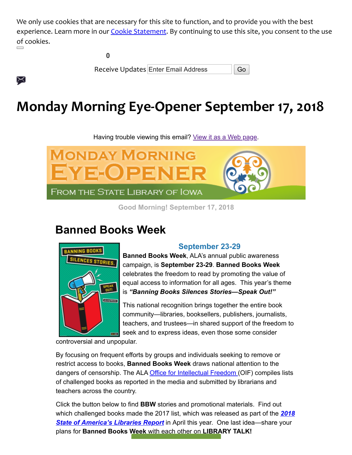We only use cookies that are necessary for this site to function, and to provide you with the best experience. Learn more in our [Cookie Statement](https://insights.govdelivery.com/Communications/Subscriber_Help_Center/Browser_cookies). By continuing to use this site, you consent to the use of cookies.

╳

**0**

Receive Updates Enter Email Address **Go** 

# **Monday Morning Eye-Opener September 17, 2018**

Having trouble viewing this email? [View it as a Web page.](https://content.govdelivery.com/accounts/IACIO/bulletins/20dd6a7)



**Good Morning! September 17, 2018**

# **Banned Books Week**



### **September 23-29**

**Banned Books Week**, ALA's annual public awareness campaign, is **September 23-29**. **Banned Books Week** celebrates the freedom to read by promoting the value of equal access to information for all ages. This year's theme is *"Banning Books Silences Stories—Speak Out!"*

This national recognition brings together the entire book community—libraries, booksellers, publishers, journalists, teachers, and trustees—in shared support of the freedom to seek and to express ideas, even those some consider

controversial and unpopular.

By focusing on frequent efforts by groups and individuals seeking to remove or restrict access to books, **Banned Books Week** draws national attention to the dangers of censorship. The ALA [Office for Intellectual Freedom](http://www.ala.org/offices/oif?utm_medium=email&utm_source=govdelivery) (OIF) compiles lists of challenged books as reported in the media and submitted by librarians and teachers across the country.

Click the button below to find **BBW** stories and promotional materials. Find out [which challenged books made the 2017 list, which was released as part of the](https://americanlibrariesmagazine.org/blogs/the-scoop/state-of-americas-libraries-2018/?utm_medium=email&utm_source=govdelivery) *2018 State of America's Libraries Report* in April this year. One last idea—share your plans for **Banned Books Week** [with each other on](https://bannedbooksweek.org/?utm_medium=email&utm_source=govdelivery) **LIBRARY TALK!**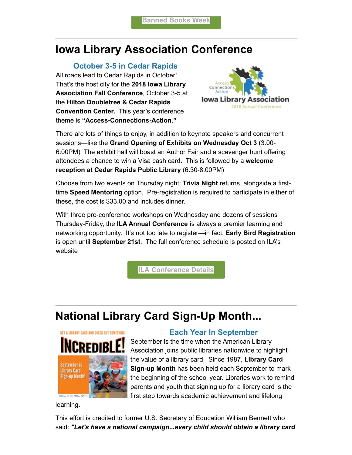## **Iowa Library Association Conference**

#### **October 3-5 in Cedar Rapids**

All roads lead to Cedar Rapids in October! That's the host city for the **2018 Iowa Library Association Fall Conference**, October 3-5 at the **Hilton Doubletree & Cedar Rapids Convention Center.** This year's conference theme is **"Access-Connections-Action."**



There are lots of things to enjoy, in addition to keynote speakers and concurrent sessions—like the **Grand Opening of Exhibits on Wednesday Oct 3** (3:00- 6:00PM) The exhibit hall will boast an Author Fair and a scavenger hunt offering attendees a chance to win a Visa cash card. This is followed by a **welcome reception at Cedar Rapids Public Library** (6:30-8:00PM)

Choose from two events on Thursday night: **Trivia Night** returns, alongside a firsttime **Speed Mentoring** option. Pre-registration is required to participate in either of these, the cost is \$33.00 and includes dinner.

With three pre-conference workshops on Wednesday and dozens of sessions Thursday-Friday, the **ILA Annual Conference** is always a premier learning and networking opportunity. It's not too late to register—in fact, **Early Bird Registration** is open until **September 21st**. The full conference schedule is posted on ILA's website

**[ILA Conference Details](https://www.iowalibraryassociation.org/index.php/conference?utm_medium=email&utm_source=govdelivery)**

# **National Library Card Sign-Up Month...**



### **Each Year In September**

September is the time when the American Library Association joins public libraries nationwide to highlight the value of a library card. Since 1987, **Library Card Sign-up Month** has been held each September to mark the beginning of the school year. Libraries work to remind parents and youth that signing up for a library card is the first step towards academic achievement and lifelong

learning.

This effort is credited to former U.S. Secretary of Education William Bennett who said: *"Let's have a national campaign...every child should obtain a library card*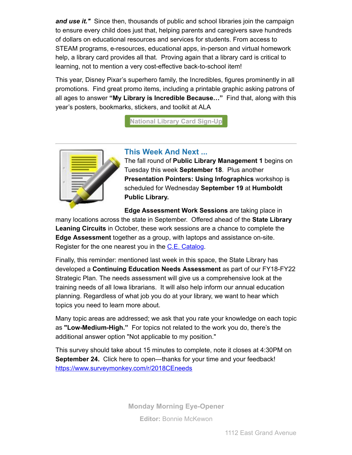*and use it."* Since then, thousands of public and school libraries join the campaign to ensure every child does just that, helping parents and caregivers save hundreds of dollars on educational resources and services for students. From access to STEAM programs, e-resources, educational apps, in-person and virtual homework help, a library card provides all that. Proving again that a library card is critical to learning, not to mention a very cost-effective back-to-school item!

This year, Disney Pixar's superhero family, the Incredibles, figures prominently in all promotions. Find great promo items, including a printable graphic asking patrons of all ages to answer **"My Library is Incredible Because…"** Find that, along with this year's posters, bookmarks, stickers, and toolkit at ALA

**[National Library Card Sign-Up](http://www.ala.org/conferencesevents/celebrationweeks/card?utm_medium=email&utm_source=govdelivery)**



#### **This Week And Next ...**

The fall round of **Public Library Management 1** begins on Tuesday this week **September 18**. Plus another **Presentation Pointers: Using Infographics** workshop is scheduled for Wednesday **September 19** at **Humboldt Public Library.**

**Edge Assessment Work Sessions** are taking place in many locations across the state in September. Offered ahead of the **State Library Leaning Circuits** in October, these work sessions are a chance to complete the **Edge Assessment** together as a group, with laptops and assistance on-site. Register for the one nearest you in the [C.E. Catalog.](https://statelibraryofiowa.lmscheckout.com/Course/index?utm_medium=email&utm_source=govdelivery)

Finally, this reminder: mentioned last week in this space, the State Library has developed a **Continuing Education Needs Assessment** as part of our FY18-FY22 Strategic Plan. The needs assessment will give us a comprehensive look at the training needs of all Iowa librarians. It will also help inform our annual education planning. Regardless of what job you do at your library, we want to hear which topics you need to learn more about.

Many topic areas are addressed; we ask that you rate your knowledge on each topic as **"Low-Medium-High."** For topics not related to the work you do, there's the additional answer option "Not applicable to my position."

This survey should take about 15 minutes to complete, note it closes at 4:30PM on **September 24.** Click here to open—thanks for your time and your feedback! [https://www.surveymonkey.com/r/2018CEneeds](https://www.surveymonkey.com/r/2018CEneeds?utm_medium=email&utm_source=govdelivery)

> **Monday Morning Eye-Opener Editor:** [Bonnie McKewon](mailto:bonnie.mckewon@iowa.gov)